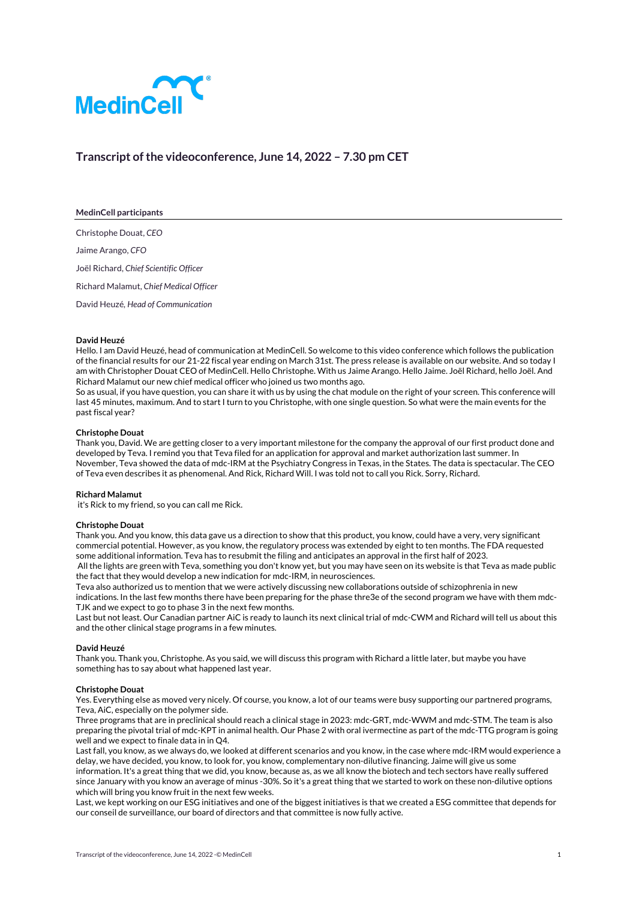

# **Transcript of the videoconference, June 14, 2022 – 7.30 pm CET**

### **MedinCell participants**

Christophe Douat, *CEO*

Jaime Arango, *CFO*

Joël Richard, *Chief Scientific Officer*

Richard Malamut, *Chief Medical Officer*

David Heuzé*, Head of Communication*

## **David Heuzé**

Hello. I am David Heuzé, head of communication at MedinCell. So welcome to this video conference which follows the publication of the financial results for our 21-22 fiscal year ending on March 31st. The press release is available on our website. And so today I am with Christopher Douat CEO of MedinCell. Hello Christophe. With us Jaime Arango. Hello Jaime. Joël Richard, hello Joël. And Richard Malamut our new chief medical officer who joined us two months ago.

So as usual, if you have question, you can share it with us by using the chat module on the right of your screen. This conference will last 45 minutes, maximum. And to start I turn to you Christophe, with one single question. So what were the main events for the past fiscal year?

## **Christophe Douat**

Thank you, David. We are getting closer to a very important milestone for the company the approval of our first product done and developed by Teva. I remind you that Teva filed for an application for approval and market authorization last summer. In November, Teva showed the data of mdc-IRM at the Psychiatry Congress in Texas, in the States. The data is spectacular. The CEO of Teva even describes it as phenomenal. And Rick, Richard Will. I was told not to call you Rick. Sorry, Richard.

#### **Richard Malamut**

it's Rick to my friend, so you can call me Rick.

### **Christophe Douat**

Thank you. And you know, this data gave us a direction to show that this product, you know, could have a very, very significant commercial potential. However, as you know, the regulatory process was extended by eight to ten months. The FDA requested some additional information. Teva has to resubmit the filing and anticipates an approval in the first half of 2023. All the lights are green with Teva, something you don't know yet, but you may have seen on its website is that Teva as made public

the fact that they would develop a new indication for mdc-IRM, in neurosciences. Teva also authorized us to mention that we were actively discussing new collaborations outside of schizophrenia in new indications. In the last few months there have been preparing for the phase thre3e of the second program we have with them mdc-TJK and we expect to go to phase 3 in the next few months.

Last but not least. Our Canadian partner AiC is ready to launch its next clinical trial of mdc-CWM and Richard will tell us about this and the other clinical stage programs in a few minutes.

#### **David Heuzé**

Thank you. Thank you, Christophe. As you said, we will discuss this program with Richard a little later, but maybe you have something has to say about what happened last year.

#### **Christophe Douat**

Yes. Everything else as moved very nicely. Of course, you know, a lot of our teams were busy supporting our partnered programs, Teva, AiC, especially on the polymer side.

Three programs that are in preclinical should reach a clinical stage in 2023: mdc-GRT, mdc-WWM and mdc-STM. The team is also preparing the pivotal trial of mdc-KPT in animal health. Our Phase 2 with oral ivermectine as part of the mdc-TTG program is going well and we expect to finale data in in Q4.

Last fall, you know, as we always do, we looked at different scenarios and you know, in the case where mdc-IRM would experience a delay, we have decided, you know, to look for, you know, complementary non-dilutive financing. Jaime will give us some information. It's a great thing that we did, you know, because as, as we all know the biotech and tech sectors have really suffered since January with you know an average of minus -30%. So it's a great thing that we started to work on these non-dilutive options which will bring you know fruit in the next few weeks.

Last, we kept working on our ESG initiatives and one of the biggest initiatives is that we created a ESG committee that depends for our conseil de surveillance, our board of directors and that committee is now fully active.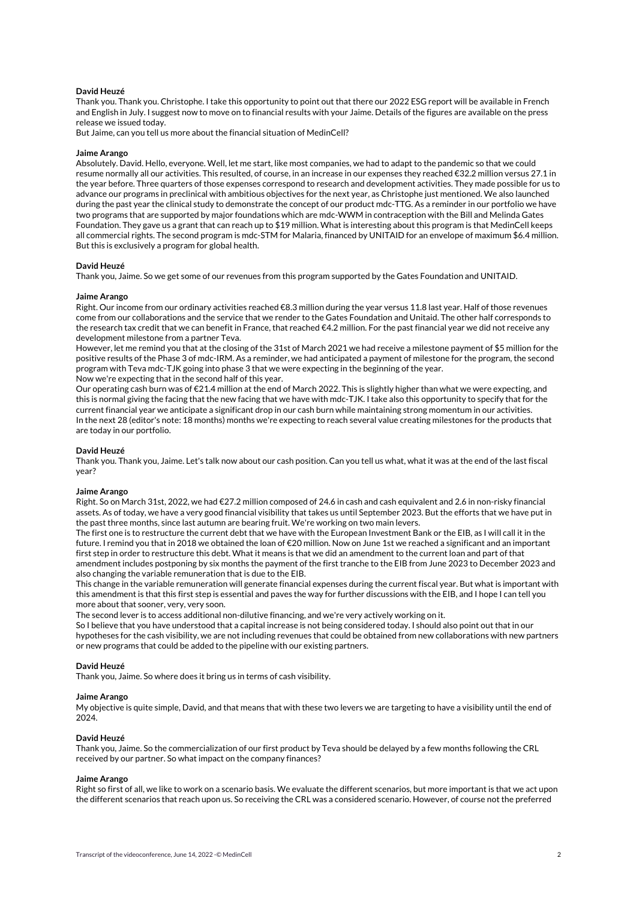## **David Heuzé**

Thank you. Thank you. Christophe. I take this opportunity to point out that there our 2022 ESG report will be available in French and English in July. I suggest now to move on to financial results with your Jaime. Details of the figures are available on the press release we issued today.

But Jaime, can you tell us more about the financial situation of MedinCell?

#### **Jaime Arango**

Absolutely. David. Hello, everyone. Well, let me start, like most companies, we had to adapt to the pandemic so that we could resume normally all our activities. This resulted, of course, in an increase in our expenses they reached €32.2 million versus 27.1 in the year before. Three quarters of those expenses correspond to research and development activities. They made possible for us to advance our programs in preclinical with ambitious objectives for the next year, as Christophe just mentioned. We also launched during the past year the clinical study to demonstrate the concept of our product mdc-TTG. As a reminder in our portfolio we have two programs that are supported by major foundations which are mdc-WWM in contraception with the Bill and Melinda Gates Foundation. They gave us a grant that can reach up to \$19 million. What is interesting about this program is that MedinCell keeps all commercial rights. The second program is mdc-STM for Malaria, financed by UNITAID for an envelope of maximum \$6.4 million. But this is exclusively a program for global health.

#### **David Heuzé**

Thank you, Jaime. So we get some of our revenues from this program supported by the Gates Foundation and UNITAID.

## **Jaime Arango**

Right. Our income from our ordinary activities reached €8.3 million during the year versus 11.8 last year. Half of those revenues come from our collaborations and the service that we render to the Gates Foundation and Unitaid. The other half corresponds to the research tax credit that we can benefit in France, that reached €4.2 million. For the past financial year we did not receive any development milestone from a partner Teva.

However, let me remind you that at the closing of the 31st of March 2021 we had receive a milestone payment of \$5 million for the positive results of the Phase 3 of mdc-IRM. As a reminder, we had anticipated a payment of milestone for the program, the second program with Teva mdc-TJK going into phase 3 that we were expecting in the beginning of the year.

Now we're expecting that in the second half of this year.

Our operating cash burn was of €21.4 million at the end of March 2022. This is slightly higher than what we were expecting, and this is normal giving the facing that the new facing that we have with mdc-TJK. I take also this opportunity to specify that for the current financial year we anticipate a significant drop in our cash burn while maintaining strong momentum in our activities. In the next 28 (editor's note: 18 months) months we're expecting to reach several value creating milestones for the products that are today in our portfolio.

## **David Heuzé**

Thank you. Thank you, Jaime. Let's talk now about our cash position. Can you tell us what, what it was at the end of the last fiscal year?

#### **Jaime Arango**

Right. So on March 31st, 2022, we had €27.2 million composed of 24.6 in cash and cash equivalent and 2.6 in non-risky financial assets. As of today, we have a very good financial visibility that takes us until September 2023. But the efforts that we have put in the past three months, since last autumn are bearing fruit. We're working on two main levers.

The first one is to restructure the current debt that we have with the European Investment Bank or the EIB, as I will call it in the future. I remind you that in 2018 we obtained the loan of €20 million. Now on June 1st we reached a significant and an important first step in order to restructure this debt. What it means is that we did an amendment to the current loan and part of that amendment includes postponing by six months the payment of the first tranche to the EIB from June 2023 to December 2023 and also changing the variable remuneration that is due to the EIB.

This change in the variable remuneration will generate financial expenses during the current fiscal year. But what is important with this amendment is that this first step is essential and paves the way for further discussions with the EIB, and I hope I can tell you more about that sooner, very, very soon.

The second lever is to access additional non-dilutive financing, and we're very actively working on it.

So I believe that you have understood that a capital increase is not being considered today. I should also point out that in our hypotheses for the cash visibility, we are not including revenues that could be obtained from new collaborations with new partners or new programs that could be added to the pipeline with our existing partners.

### **David Heuzé**

Thank you, Jaime. So where does it bring us in terms of cash visibility.

### **Jaime Arango**

My objective is quite simple, David, and that means that with these two levers we are targeting to have a visibility until the end of 2024.

### **David Heuzé**

Thank you, Jaime. So the commercialization of our first product by Teva should be delayed by a few months following the CRL received by our partner. So what impact on the company finances?

### **Jaime Arango**

Right so first of all, we like to work on a scenario basis. We evaluate the different scenarios, but more important is that we act upon the different scenarios that reach upon us. So receiving the CRL was a considered scenario. However, of course not the preferred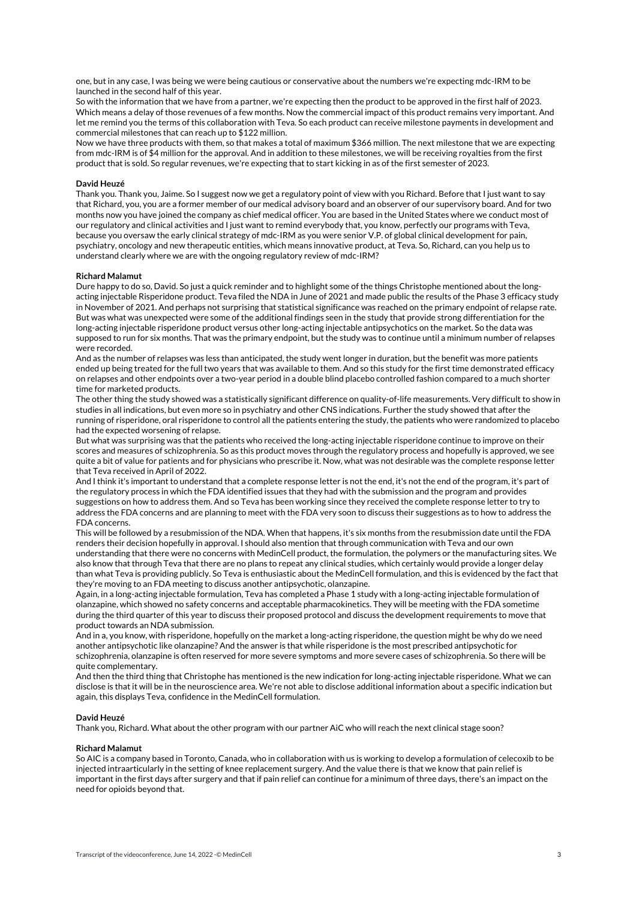one, but in any case, I was being we were being cautious or conservative about the numbers we're expecting mdc-IRM to be launched in the second half of this year.

So with the information that we have from a partner, we're expecting then the product to be approved in the first half of 2023. Which means a delay of those revenues of a few months. Now the commercial impact of this product remains very important. And let me remind you the terms of this collaboration with Teva. So each product can receive milestone payments in development and commercial milestones that can reach up to \$122 million.

Now we have three products with them, so that makes a total of maximum \$366 million. The next milestone that we are expecting from mdc-IRM is of \$4 million for the approval. And in addition to these milestones, we will be receiving royalties from the first product that is sold. So regular revenues, we're expecting that to start kicking in as of the first semester of 2023.

# **David Heuzé**

Thank you. Thank you, Jaime. So I suggest now we get a regulatory point of view with you Richard. Before that I just want to say that Richard, you, you are a former member of our medical advisory board and an observer of our supervisory board. And for two months now you have joined the company as chief medical officer. You are based in the United States where we conduct most of our regulatory and clinical activities and I just want to remind everybody that, you know, perfectly our programs with Teva, because you oversaw the early clinical strategy of mdc-IRM as you were senior V.P. of global clinical development for pain, psychiatry, oncology and new therapeutic entities, which means innovative product, at Teva. So, Richard, can you help us to understand clearly where we are with the ongoing regulatory review of mdc-IRM?

## **Richard Malamut**

Dure happy to do so, David. So just a quick reminder and to highlight some of the things Christophe mentioned about the longacting injectable Risperidone product. Teva filed the NDA in June of 2021 and made public the results of the Phase 3 efficacy study in November of 2021. And perhaps not surprising that statistical significance was reached on the primary endpoint of relapse rate. But was what was unexpected were some of the additional findings seen in the study that provide strong differentiation for the long-acting injectable risperidone product versus other long-acting injectable antipsychotics on the market. So the data was supposed to run for six months. That was the primary endpoint, but the study was to continue until a minimum number of relapses were recorded.

And as the number of relapses was less than anticipated, the study went longer in duration, but the benefit was more patients ended up being treated for the full two years that was available to them. And so this study for the first time demonstrated efficacy on relapses and other endpoints over a two-year period in a double blind placebo controlled fashion compared to a much shorter time for marketed products.

The other thing the study showed was a statistically significant difference on quality-of-life measurements. Very difficult to show in studies in all indications, but even more so in psychiatry and other CNS indications. Further the study showed that after the running of risperidone, oral risperidone to control all the patients entering the study, the patients who were randomized to placebo had the expected worsening of relapse.

But what was surprising was that the patients who received the long-acting injectable risperidone continue to improve on their scores and measures of schizophrenia. So as this product moves through the regulatory process and hopefully is approved, we see quite a bit of value for patients and for physicians who prescribe it. Now, what was not desirable was the complete response letter that Teva received in April of 2022.

And I think it's important to understand that a complete response letter is not the end, it's not the end of the program, it's part of the regulatory process in which the FDA identified issues that they had with the submission and the program and provides suggestions on how to address them. And so Teva has been working since they received the complete response letter to try to address the FDA concerns and are planning to meet with the FDA very soon to discuss their suggestions as to how to address the FDA concerns.

This will be followed by a resubmission of the NDA. When that happens, it's six months from the resubmission date until the FDA renders their decision hopefully in approval. I should also mention that through communication with Teva and our own understanding that there were no concerns with MedinCell product, the formulation, the polymers or the manufacturing sites. We also know that through Teva that there are no plans to repeat any clinical studies, which certainly would provide a longer delay than what Teva is providing publicly. So Teva is enthusiastic about the MedinCell formulation, and this is evidenced by the fact that they're moving to an FDA meeting to discuss another antipsychotic, olanzapine.

Again, in a long-acting injectable formulation, Teva has completed a Phase 1 study with a long-acting injectable formulation of olanzapine, which showed no safety concerns and acceptable pharmacokinetics. They will be meeting with the FDA sometime during the third quarter of this year to discuss their proposed protocol and discuss the development requirements to move that product towards an NDA submission.

And in a, you know, with risperidone, hopefully on the market a long-acting risperidone, the question might be why do we need another antipsychotic like olanzapine? And the answer is that while risperidone is the most prescribed antipsychotic for schizophrenia, olanzapine is often reserved for more severe symptoms and more severe cases of schizophrenia. So there will be quite complementary.

And then the third thing that Christophe has mentioned is the new indication for long-acting injectable risperidone. What we can disclose is that it will be in the neuroscience area. We're not able to disclose additional information about a specific indication but again, this displays Teva, confidence in the MedinCell formulation.

## **David Heuzé**

Thank you, Richard. What about the other program with our partner AiC who will reach the next clinical stage soon?

#### **Richard Malamut**

So AIC is a company based in Toronto, Canada, who in collaboration with us is working to develop a formulation of celecoxib to be injected intraarticularly in the setting of knee replacement surgery. And the value there is that we know that pain relief is important in the first days after surgery and that if pain relief can continue for a minimum of three days, there's an impact on the need for opioids beyond that.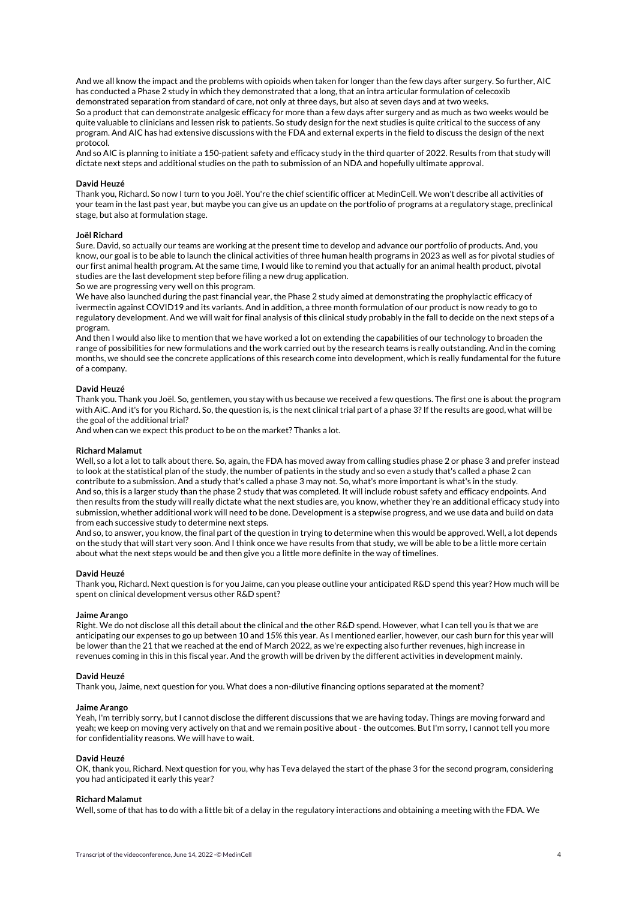And we all know the impact and the problems with opioids when taken for longer than the few days after surgery. So further, AIC has conducted a Phase 2 study in which they demonstrated that a long, that an intra articular formulation of celecoxib demonstrated separation from standard of care, not only at three days, but also at seven days and at two weeks. So a product that can demonstrate analgesic efficacy for more than a few days after surgery and as much as two weeks would be quite valuable to clinicians and lessen risk to patients. So study design for the next studies is quite critical to the success of any program. And AIC has had extensive discussions with the FDA and external experts in the field to discuss the design of the next protocol.

And so AIC is planning to initiate a 150-patient safety and efficacy study in the third quarter of 2022. Results from that study will dictate next steps and additional studies on the path to submission of an NDA and hopefully ultimate approval.

## **David Heuzé**

Thank you, Richard. So now I turn to you Joël. You're the chief scientific officer at MedinCell. We won't describe all activities of your team in the last past year, but maybe you can give us an update on the portfolio of programs at a regulatory stage, preclinical stage, but also at formulation stage.

#### **Joël Richard**

Sure. David, so actually our teams are working at the present time to develop and advance our portfolio of products. And, you know, our goal is to be able to launch the clinical activities of three human health programs in 2023 as well as for pivotal studies of our first animal health program. At the same time, I would like to remind you that actually for an animal health product, pivotal studies are the last development step before filing a new drug application.

So we are progressing very well on this program.

We have also launched during the past financial year, the Phase 2 study aimed at demonstrating the prophylactic efficacy of ivermectin against COVID19 and its variants. And in addition, a three month formulation of our product is now ready to go to regulatory development. And we will wait for final analysis of this clinical study probably in the fall to decide on the next steps of a program.

And then I would also like to mention that we have worked a lot on extending the capabilities of our technology to broaden the range of possibilities for new formulations and the work carried out by the research teams is really outstanding. And in the coming months, we should see the concrete applications of this research come into development, which is really fundamental for the future of a company.

#### **David Heuzé**

Thank you. Thank you Joël. So, gentlemen, you stay with us because we received a few questions. The first one is about the program with AiC. And it's for you Richard. So, the question is, is the next clinical trial part of a phase 3? If the results are good, what will be the goal of the additional trial?

And when can we expect this product to be on the market? Thanks a lot.

## **Richard Malamut**

Well, so a lot a lot to talk about there. So, again, the FDA has moved away from calling studies phase 2 or phase 3 and prefer instead to look at the statistical plan of the study, the number of patients in the study and so even a study that's called a phase 2 can contribute to a submission. And a study that's called a phase 3 may not. So, what's more important is what's in the study. And so, this is a larger study than the phase 2 study that was completed. It will include robust safety and efficacy endpoints. And then results from the study will really dictate what the next studies are, you know, whether they're an additional efficacy study into submission, whether additional work will need to be done. Development is a stepwise progress, and we use data and build on data from each successive study to determine next steps.

And so, to answer, you know, the final part of the question in trying to determine when this would be approved. Well, a lot depends on the study that will start very soon. And I think once we have results from that study, we will be able to be a little more certain about what the next steps would be and then give you a little more definite in the way of timelines.

#### **David Heuzé**

Thank you, Richard. Next question is for you Jaime, can you please outline your anticipated R&D spend this year? How much will be spent on clinical development versus other R&D spent?

## **Jaime Arango**

Right. We do not disclose all this detail about the clinical and the other R&D spend. However, what I can tell you is that we are anticipating our expenses to go up between 10 and 15% this year. As I mentioned earlier, however, our cash burn for this year will be lower than the 21 that we reached at the end of March 2022, as we're expecting also further revenues, high increase in revenues coming in this in this fiscal year. And the growth will be driven by the different activities in development mainly.

#### **David Heuzé**

Thank you, Jaime, next question for you. What does a non-dilutive financing options separated at the moment?

## **Jaime Arango**

Yeah, I'm terribly sorry, but I cannot disclose the different discussions that we are having today. Things are moving forward and yeah; we keep on moving very actively on that and we remain positive about - the outcomes. But I'm sorry, I cannot tell you more for confidentiality reasons. We will have to wait.

#### **David Heuzé**

OK, thank you, Richard. Next question for you, why has Teva delayed the start of the phase 3 for the second program, considering you had anticipated it early this year?

#### **Richard Malamut**

Well, some of that has to do with a little bit of a delay in the regulatory interactions and obtaining a meeting with the FDA. We